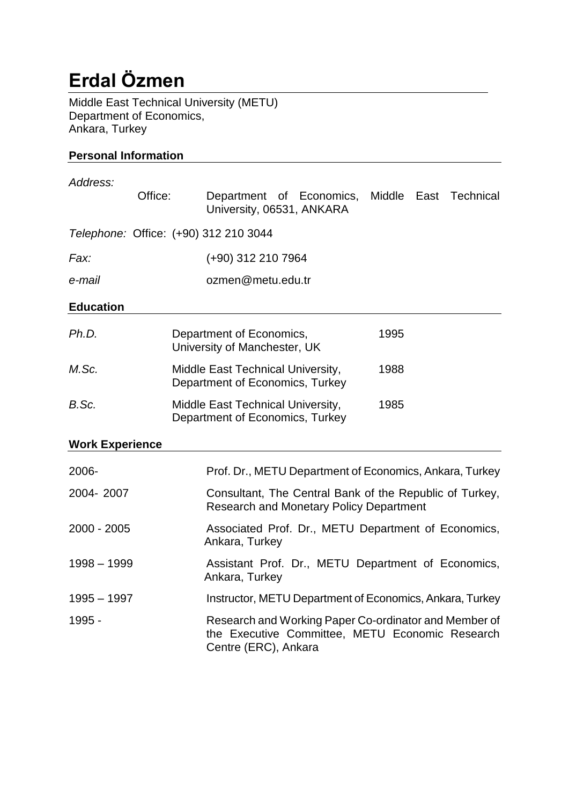# **Erdal Özmen**

Middle East Technical University (METU) Department of Economics, Ankara, Turkey

## **Personal Information**

| Address:               |                                                                                                           |  |                                                                                                                                  |  |  |      |  |                       |
|------------------------|-----------------------------------------------------------------------------------------------------------|--|----------------------------------------------------------------------------------------------------------------------------------|--|--|------|--|-----------------------|
| Office:                |                                                                                                           |  | Department of Economics,<br>University, 06531, ANKARA                                                                            |  |  |      |  | Middle East Technical |
|                        |                                                                                                           |  | Telephone: Office: (+90) 312 210 3044                                                                                            |  |  |      |  |                       |
| Fax:                   |                                                                                                           |  | (+90) 312 210 7964                                                                                                               |  |  |      |  |                       |
| e-mail                 |                                                                                                           |  | ozmen@metu.edu.tr                                                                                                                |  |  |      |  |                       |
| <b>Education</b>       |                                                                                                           |  |                                                                                                                                  |  |  |      |  |                       |
| Ph.D.                  |                                                                                                           |  | Department of Economics,<br>University of Manchester, UK                                                                         |  |  | 1995 |  |                       |
| M.Sc.                  |                                                                                                           |  | Middle East Technical University,<br>Department of Economics, Turkey                                                             |  |  | 1988 |  |                       |
| B.Sc.                  |                                                                                                           |  | Middle East Technical University,<br>Department of Economics, Turkey                                                             |  |  | 1985 |  |                       |
| <b>Work Experience</b> |                                                                                                           |  |                                                                                                                                  |  |  |      |  |                       |
| 2006-                  |                                                                                                           |  | Prof. Dr., METU Department of Economics, Ankara, Turkey                                                                          |  |  |      |  |                       |
| 2004-2007              | Consultant, The Central Bank of the Republic of Turkey,<br><b>Research and Monetary Policy Department</b> |  |                                                                                                                                  |  |  |      |  |                       |
| 2000 - 2005            |                                                                                                           |  | Associated Prof. Dr., METU Department of Economics,<br>Ankara, Turkey                                                            |  |  |      |  |                       |
| $1998 - 1999$          |                                                                                                           |  | Assistant Prof. Dr., METU Department of Economics,<br>Ankara, Turkey                                                             |  |  |      |  |                       |
| $1995 - 1997$          |                                                                                                           |  | Instructor, METU Department of Economics, Ankara, Turkey                                                                         |  |  |      |  |                       |
| 1995 -                 |                                                                                                           |  | Research and Working Paper Co-ordinator and Member of<br>the Executive Committee, METU Economic Research<br>Centre (ERC), Ankara |  |  |      |  |                       |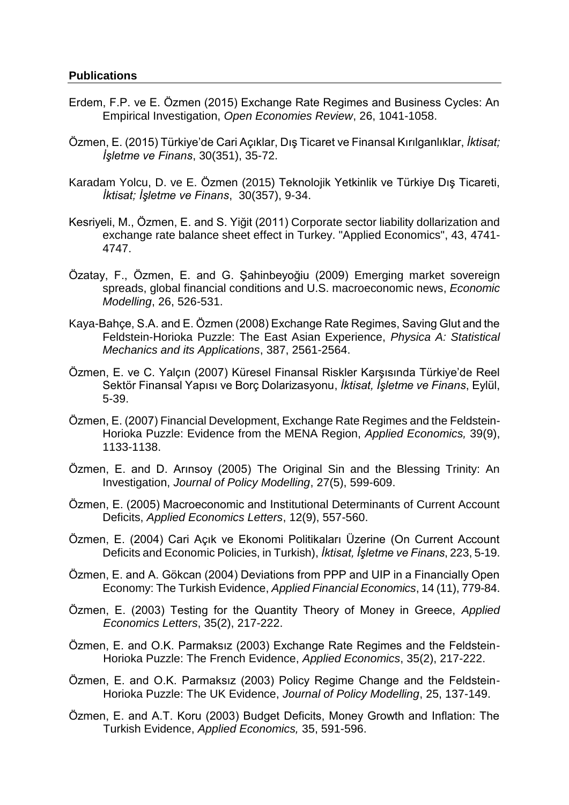#### **Publications**

- Erdem, F.P. ve E. Özmen (2015) Exchange Rate Regimes and Business Cycles: An Empirical Investigation, *Open Economies Review*, 26, 1041-1058.
- Özmen, E. (2015) Türkiye'de Cari Açıklar, Dış Ticaret ve Finansal Kırılganlıklar, *İktisat; İşletme ve Finans*, 30(351), 35-72.
- Karadam Yolcu, D. ve E. Özmen (2015) Teknolojik Yetkinlik ve Türkiye Dış Ticareti, *İktisat; İşletme ve Finans*, 30(357), 9-34.
- Kesriyeli, M., Özmen, E. and S. Yiğit (2011) Corporate sector liability dollarization and exchange rate balance sheet effect in Turkey. "Applied Economics", 43, 4741- 4747.
- Özatay, F., Özmen, E. and G. Şahinbeyoğiu (2009) Emerging market sovereign spreads, global financial conditions and U.S. macroeconomic news, *Economic Modelling*, 26, 526-531.
- Kaya-Bahçe, S.A. and E. Özmen (2008) Exchange Rate Regimes, Saving Glut and the Feldstein-Horioka Puzzle: The East Asian Experience, *Physica A: Statistical Mechanics and its Applications*, 387, 2561-2564.
- Özmen, E. ve C. Yalçın (2007) Küresel Finansal Riskler Karşısında Türkiye'de Reel Sektör Finansal Yapısı ve Borç Dolarizasyonu, *İktisat, İşletme ve Finans*, Eylül, 5-39.
- Özmen, E. (2007) Financial Development, Exchange Rate Regimes and the Feldstein-Horioka Puzzle: Evidence from the MENA Region, *Applied Economics,* 39(9), 1133-1138.
- Özmen, E. and D. Arınsoy (2005) The Original Sin and the Blessing Trinity: An Investigation, *Journal of Policy Modelling*, 27(5), 599-609.
- Özmen, E. (2005) Macroeconomic and Institutional Determinants of Current Account Deficits, *Applied Economics Letters*, 12(9), 557-560.
- Özmen, E. (2004) Cari Açık ve Ekonomi Politikaları Üzerine (On Current Account Deficits and Economic Policies, in Turkish), *İktisat, İşletme ve Finans*, 223, 5-19.
- Özmen, E. and A. Gökcan (2004) Deviations from PPP and UIP in a Financially Open Economy: The Turkish Evidence, *Applied Financial Economics*, 14 (11), 779-84.
- Özmen, E. (2003) Testing for the Quantity Theory of Money in Greece, *Applied Economics Letters*, 35(2), 217-222.
- Özmen, E. and O.K. Parmaksız (2003) Exchange Rate Regimes and the Feldstein-Horioka Puzzle: The French Evidence, *Applied Economics*, 35(2), 217-222.
- Özmen, E. and O.K. Parmaksız (2003) Policy Regime Change and the Feldstein-Horioka Puzzle: The UK Evidence, *Journal of Policy Modelling*, 25, 137-149.
- Özmen, E. and A.T. Koru (2003) Budget Deficits, Money Growth and Inflation: The Turkish Evidence, *Applied Economics,* 35, 591-596.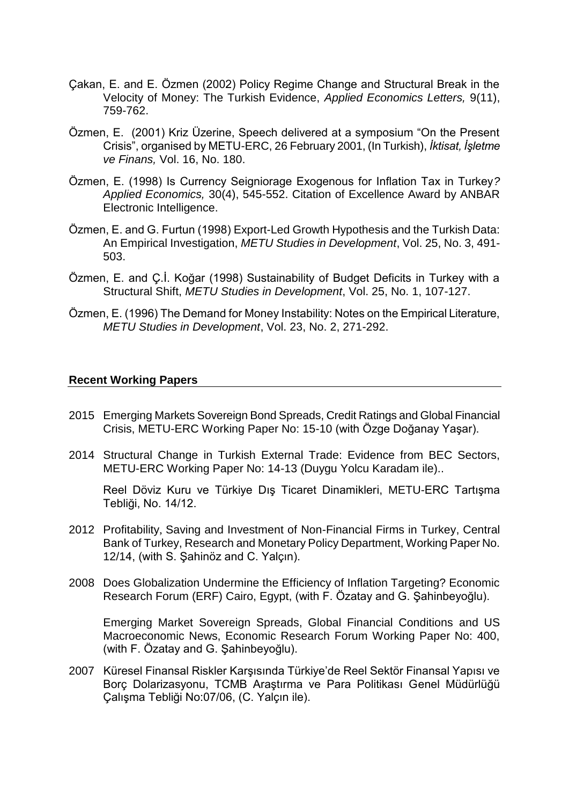- Çakan, E. and E. Özmen (2002) Policy Regime Change and Structural Break in the Velocity of Money: The Turkish Evidence, *Applied Economics Letters,* 9(11), 759-762.
- Özmen, E. (2001) Kriz Üzerine, Speech delivered at a symposium "On the Present Crisis", organised by METU-ERC, 26 February 2001, (In Turkish), *İktisat, İşletme ve Finans,* Vol. 16, No. 180.
- Özmen, E. (1998) Is Currency Seigniorage Exogenous for Inflation Tax in Turkey*? Applied Economics,* 30(4), 545-552. Citation of Excellence Award by ANBAR Electronic Intelligence.
- Özmen, E. and G. Furtun (1998) Export-Led Growth Hypothesis and the Turkish Data: An Empirical Investigation, *METU Studies in Development*, Vol. 25, No. 3, 491- 503.
- Özmen, E. and Ç.İ. Koğar (1998) Sustainability of Budget Deficits in Turkey with a Structural Shift, *METU Studies in Development*, Vol. 25, No. 1, 107-127.
- Özmen, E. (1996) The Demand for Money Instability: Notes on the Empirical Literature, *METU Studies in Development*, Vol. 23, No. 2, 271-292.

#### **Recent Working Papers**

- 2015 Emerging Markets Sovereign Bond Spreads, Credit Ratings and Global Financial Crisis, METU-ERC Working Paper No: 15-10 (with Özge Doğanay Yaşar).
- 2014 Structural Change in Turkish External Trade: Evidence from BEC Sectors, METU-ERC Working Paper No: 14-13 (Duygu Yolcu Karadam ile)..

[Reel Döviz Kuru ve Türkiye Dış Ticaret Dinamikleri](http://www.erc.metu.edu.tr/menu/sayfa.php?icerik=14_12&lang=eng&nav=yes), METU-ERC Tartışma Tebliği, No. 14/12.

- 2012 Profitability, Saving and Investment of Non-Financial Firms in Turkey, Central Bank of Turkey, Research and Monetary Policy Department, Working Paper No. 12/14, (with S. Şahinöz and C. Yalçın).
- 2008 Does Globalization Undermine the Efficiency of Inflation Targeting? Economic Research Forum (ERF) Cairo, Egypt, (with F. Özatay and G. Şahinbeyoğlu).

Emerging Market Sovereign Spreads, Global Financial Conditions and US Macroeconomic News, Economic Research Forum Working Paper No: 400, (with F. Özatay and G. Şahinbeyoğlu).

2007 Küresel Finansal Riskler Karşısında Türkiye'de Reel Sektör Finansal Yapısı ve Borç Dolarizasyonu, TCMB Araştırma ve Para Politikası Genel Müdürlüğü Çalışma Tebliği No:07/06, (C. Yalçın ile).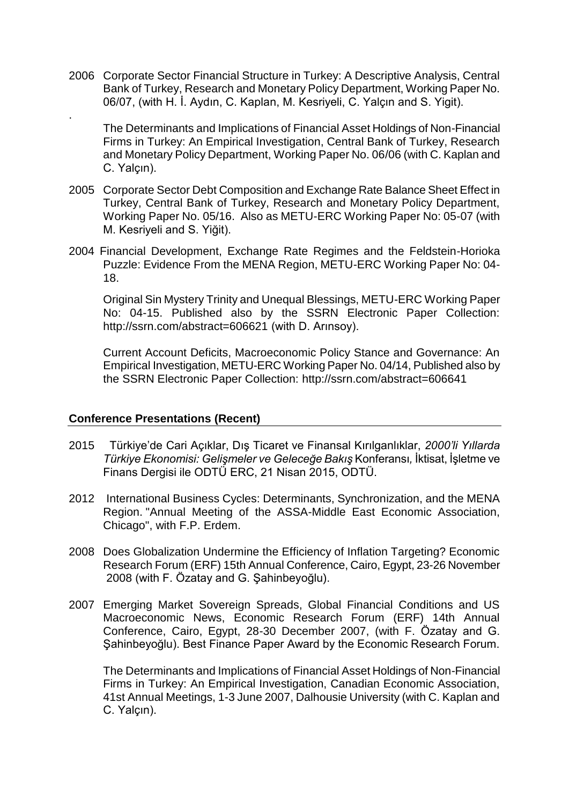2006 Corporate Sector Financial Structure in Turkey: A Descriptive Analysis, Central Bank of Turkey, Research and Monetary Policy Department, Working Paper No. 06/07, (with H. İ. Aydın, C. Kaplan, M. Kesriyeli, C. Yalçın and S. Yigit).

The Determinants and Implications of Financial Asset Holdings of Non-Financial Firms in Turkey: An Empirical Investigation, Central Bank of Turkey, Research and Monetary Policy Department, Working Paper No. 06/06 (with C. Kaplan and C. Yalçın).

- 2005 Corporate Sector Debt Composition and Exchange Rate Balance Sheet Effect in Turkey, Central Bank of Turkey, Research and Monetary Policy Department, Working Paper No. 05/16. Also as METU-ERC Working Paper No: 05-07 (with M. Kesriyeli and S. Yiğit).
- 2004 Financial Development, Exchange Rate Regimes and the Feldstein-Horioka Puzzle: Evidence From the MENA Region, METU-ERC Working Paper No: 04- 18.

Original Sin Mystery Trinity and Unequal Blessings, METU-ERC Working Paper No: 04-15. Published also by the SSRN Electronic Paper Collection: <http://ssrn.com/abstract=606621> (with D. Arınsoy).

Current Account Deficits, Macroeconomic Policy Stance and Governance: An Empirical Investigation, METU-ERC Working Paper No. 04/14, Published also by the SSRN Electronic Paper Collection:<http://ssrn.com/abstract=606641>

## **Conference Presentations (Recent)**

.

- 2015 Türkiye'de Cari Açıklar, Dış Ticaret ve Finansal Kırılganlıklar, *2000'li Yıllarda Türkiye Ekonomisi: Gelişmeler ve Geleceğe Bakış* Konferansı*,* İktisat, İşletme ve Finans Dergisi ile ODTÜ ERC, 21 Nisan 2015, ODTÜ.
- 2012 International Business Cycles: Determinants, Synchronization, and the MENA Region. "Annual Meeting of the ASSA-Middle East Economic Association, Chicago", with F.P. Erdem.
- 2008 Does Globalization Undermine the Efficiency of Inflation Targeting? Economic Research Forum (ERF) 15th Annual Conference, Cairo, Egypt, 23-26 November 2008 (with F. Özatay and G. Şahinbeyoğlu).
- 2007 Emerging Market Sovereign Spreads, Global Financial Conditions and US Macroeconomic News, Economic Research Forum (ERF) 14th Annual Conference, Cairo, Egypt, 28-30 December 2007, (with F. Özatay and G. Şahinbeyoğlu). Best Finance Paper Award by the Economic Research Forum.

The Determinants and Implications of Financial Asset Holdings of Non-Financial Firms in Turkey: An Empirical Investigation, Canadian Economic Association, 41st Annual Meetings, 1-3 June 2007, Dalhousie University (with C. Kaplan and C. Yalçın).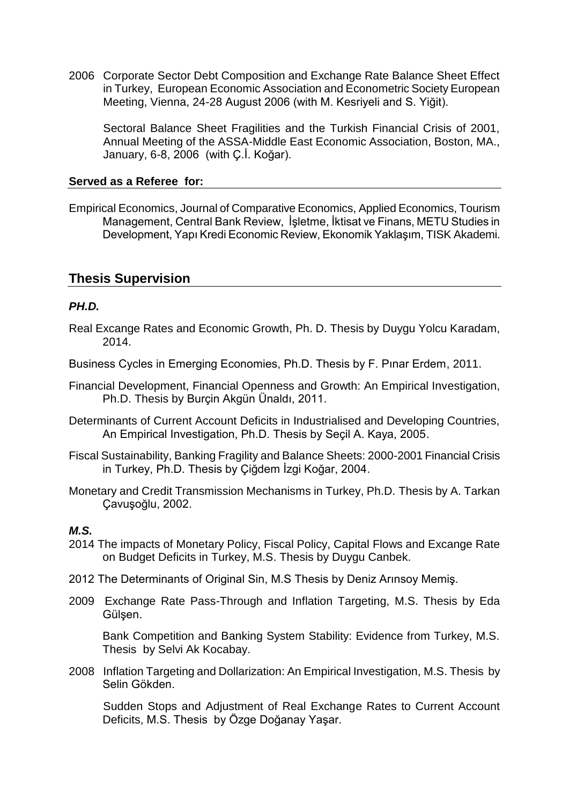2006 Corporate Sector Debt Composition and Exchange Rate Balance Sheet Effect in Turkey, European Economic Association and Econometric Society European Meeting, Vienna, 24-28 August 2006 (with M. Kesriyeli and S. Yiğit).

Sectoral Balance Sheet Fragilities and the Turkish Financial Crisis of 2001, Annual Meeting of the ASSA-Middle East Economic Association, Boston, MA., January, 6-8, 2006 (with Ç.İ. Koğar).

#### **Served as a Referee for:**

Empirical Economics, Journal of Comparative Economics, Applied Economics, Tourism Management, Central Bank Review, İşletme, İktisat ve Finans, METU Studies in Development, Yapı Kredi Economic Review, Ekonomik Yaklaşım, TISK Akademi.

## **Thesis Supervision**

## *PH.D.*

- Real Excange Rates and Economic Growth, Ph. D. Thesis by Duygu Yolcu Karadam, 2014.
- Business Cycles in Emerging Economies, Ph.D. Thesis by F. Pınar Erdem, 2011.
- Financial Development, Financial Openness and Growth: An Empirical Investigation, Ph.D. Thesis by Burçin Akgün Ünaldı, 2011.
- Determinants of Current Account Deficits in Industrialised and Developing Countries, An Empirical Investigation, Ph.D. Thesis by Seçil A. Kaya, 2005.
- Fiscal Sustainability, Banking Fragility and Balance Sheets: 2000-2001 Financial Crisis in Turkey, Ph.D. Thesis by Çiğdem İzgi Koğar, 2004.
- Monetary and Credit Transmission Mechanisms in Turkey, Ph.D. Thesis by A. Tarkan Çavuşoğlu, 2002.

## *M.S.*

- 2014 The impacts of Monetary Policy, Fiscal Policy, Capital Flows and Excange Rate on Budget Deficits in Turkey, M.S. Thesis by Duygu Canbek.
- 2012 The Determinants of Original Sin, M.S Thesis by Deniz Arınsoy Memiş.
- 2009 Exchange Rate Pass-Through and Inflation Targeting, M.S. Thesis by Eda Gülşen.

Bank Competition and Banking System Stability: Evidence from Turkey, M.S. Thesis by Selvi Ak Kocabay.

2008 Inflation Targeting and Dollarization: An Empirical Investigation, M.S. Thesis by Selin Gökden.

Sudden Stops and Adjustment of Real Exchange Rates to Current Account Deficits, M.S. Thesis by Özge Doğanay Yaşar.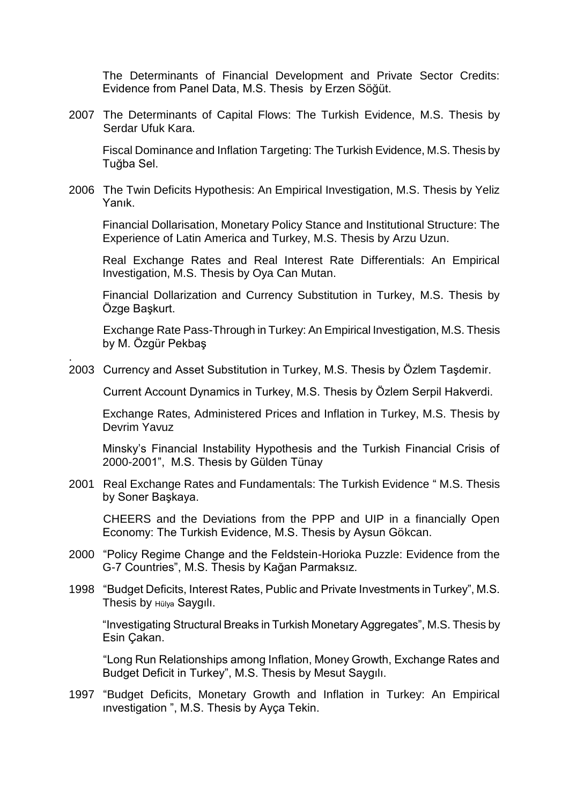The Determinants of Financial Development and Private Sector Credits: Evidence from Panel Data, M.S. Thesis by Erzen Söğüt.

2007 The Determinants of Capital Flows: The Turkish Evidence, M.S. Thesis by Serdar Ufuk Kara.

Fiscal Dominance and Inflation Targeting: The Turkish Evidence, M.S. Thesis by Tuğba Sel.

2006 The Twin Deficits Hypothesis: An Empirical Investigation, M.S. Thesis by Yeliz Yanık.

Financial Dollarisation, Monetary Policy Stance and Institutional Structure: The Experience of Latin America and Turkey, M.S. Thesis by Arzu Uzun.

Real Exchange Rates and Real Interest Rate Differentials: An Empirical Investigation, M.S. Thesis by Oya Can Mutan.

Financial Dollarization and Currency Substitution in Turkey, M.S. Thesis by Özge Başkurt.

Exchange Rate Pass-Through in Turkey: An Empirical Investigation, M.S. Thesis by M. Özgür Pekbaş

2003 Currency and Asset Substitution in Turkey, M.S. Thesis by Özlem Taşdemir.

.

Current Account Dynamics in Turkey, M.S. Thesis by Özlem Serpil Hakverdi.

Exchange Rates, Administered Prices and Inflation in Turkey, M.S. Thesis by Devrim Yavuz

Minsky's Financial Instability Hypothesis and the Turkish Financial Crisis of 2000-2001", M.S. Thesis by Gülden Tünay

2001 Real Exchange Rates and Fundamentals: The Turkish Evidence " M.S. Thesis by Soner Başkaya.

CHEERS and the Deviations from the PPP and UIP in a financially Open Economy: The Turkish Evidence, M.S. Thesis by Aysun Gökcan.

- 2000 "Policy Regime Change and the Feldstein-Horioka Puzzle: Evidence from the G-7 Countries", M.S. Thesis by Kağan Parmaksız.
- 1998 "Budget Deficits, Interest Rates, Public and Private Investments in Turkey", M.S. Thesis by Hülya Saygılı.

"Investigating Structural Breaks in Turkish Monetary Aggregates", M.S. Thesis by Esin Çakan.

"Long Run Relationships among Inflation, Money Growth, Exchange Rates and Budget Deficit in Turkey", M.S. Thesis by Mesut Saygılı.

1997 "Budget Deficits, Monetary Growth and Inflation in Turkey: An Empirical ınvestigation ", M.S. Thesis by Ayça Tekin.